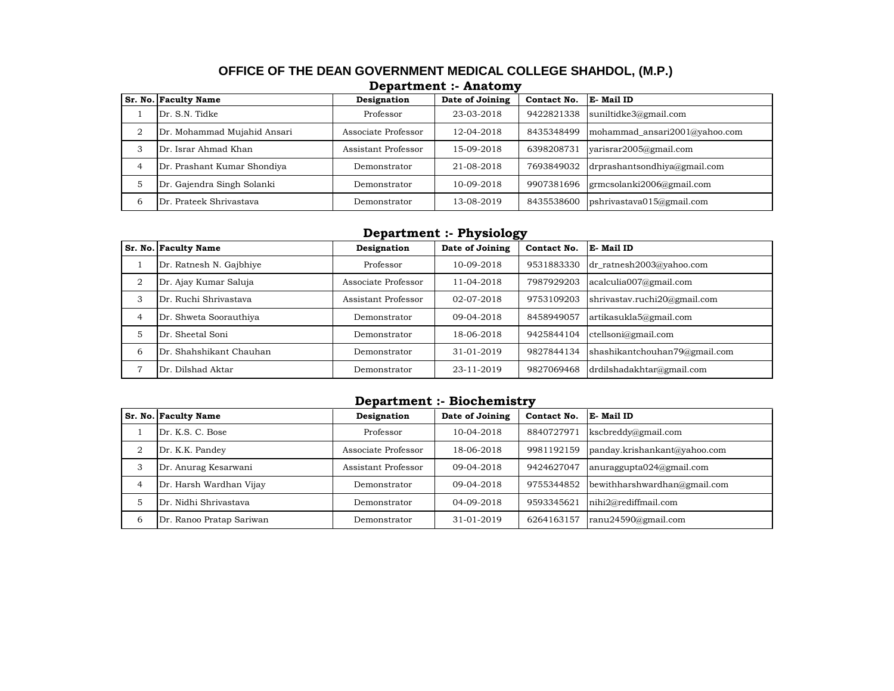### **OFFICE OF THE DEAN GOVERNMENT MEDICAL COLLEGE SHAHDOL, (M.P.) Department :- Anatomy**

|   | Sr. No. Faculty Name        | Designation         | Date of Joining | Contact No. | E-Mail ID                       |
|---|-----------------------------|---------------------|-----------------|-------------|---------------------------------|
|   | Dr. S.N. Tidke              | Professor           | 23-03-2018      | 9422821338  | suniltidke3@gmail.com           |
| 2 | Dr. Mohammad Mujahid Ansari | Associate Professor | 12-04-2018      | 8435348499  | mohammad ansari2001@yahoo.com   |
| 3 | Dr. Israr Ahmad Khan        | Assistant Professor | 15-09-2018      | 6398208731  | yarisrar2005@gmail.com          |
| 4 | Dr. Prashant Kumar Shondiya | Demonstrator        | 21-08-2018      | 7693849032  | $d$ rprashantsondhiya@gmail.com |
| 5 | Dr. Gajendra Singh Solanki  | Demonstrator        | 10-09-2018      | 9907381696  | grmcsolanki2006@gmail.com       |
| 6 | Dr. Prateek Shrivastava     | Demonstrator        | 13-08-2019      | 8435538600  | pshrivastava015@gmail.com       |

## **Department :- Physiology**

|                | --                      |                     |                 |             |                               |  |
|----------------|-------------------------|---------------------|-----------------|-------------|-------------------------------|--|
|                | Sr. No. Faculty Name    | Designation         | Date of Joining | Contact No. | E-Mail ID                     |  |
|                | Dr. Ratnesh N. Gajbhiye | Professor           | 10-09-2018      | 9531883330  | dr ratnesh2003@yahoo.com      |  |
| $\overline{2}$ | Dr. Ajay Kumar Saluja   | Associate Professor | 11-04-2018      | 7987929203  | acalculia007@gmail.com        |  |
| 3              | Dr. Ruchi Shrivastava   | Assistant Professor | 02-07-2018      | 9753109203  | shrivastav.ruchi20@gmail.com  |  |
| $\overline{4}$ | Dr. Shweta Soorauthiya  | Demonstrator        | 09-04-2018      | 8458949057  | artikasukla5@gmail.com        |  |
| 5              | Dr. Sheetal Soni        | Demonstrator        | 18-06-2018      | 9425844104  | ctellsoni@gmail.com           |  |
| 6              | Dr. Shahshikant Chauhan | Demonstrator        | $31-01-2019$    | 9827844134  | shashikantchouhan79@gmail.com |  |
|                | Dr. Dilshad Aktar       | Demonstrator        | 23-11-2019      | 9827069468  | drdilshadakhtar@gmail.com     |  |

## **Department :- Biochemistry**

|                | <b>Sr. No. Faculty Name</b> | Designation         | Date of Joining  | Contact No. | E-Mail ID                    |
|----------------|-----------------------------|---------------------|------------------|-------------|------------------------------|
|                | Dr. K.S. C. Bose            | Professor           | 10-04-2018       | 8840727971  | kscbreddy@gmail.com          |
| 2              | Dr. K.K. Pandey             | Associate Professor | 18-06-2018       | 9981192159  | panday.krishankant@yahoo.com |
| 3              | Dr. Anurag Kesarwani        | Assistant Professor | $09-04-2018$     | 9424627047  | anuraggupta024@gmail.com     |
| $\overline{4}$ | Dr. Harsh Wardhan Vijay     | Demonstrator        | $09-04-2018$     | 9755344852  | bewithharshwardhan@gmail.com |
| 5              | Dr. Nidhi Shrivastava       | Demonstrator        | $04 - 09 - 2018$ | 9593345621  | nihi2@rediffmail.com         |
| 6              | Dr. Ranoo Pratap Sariwan    | Demonstrator        | 31-01-2019       | 6264163157  | ranu24590@gmail.com          |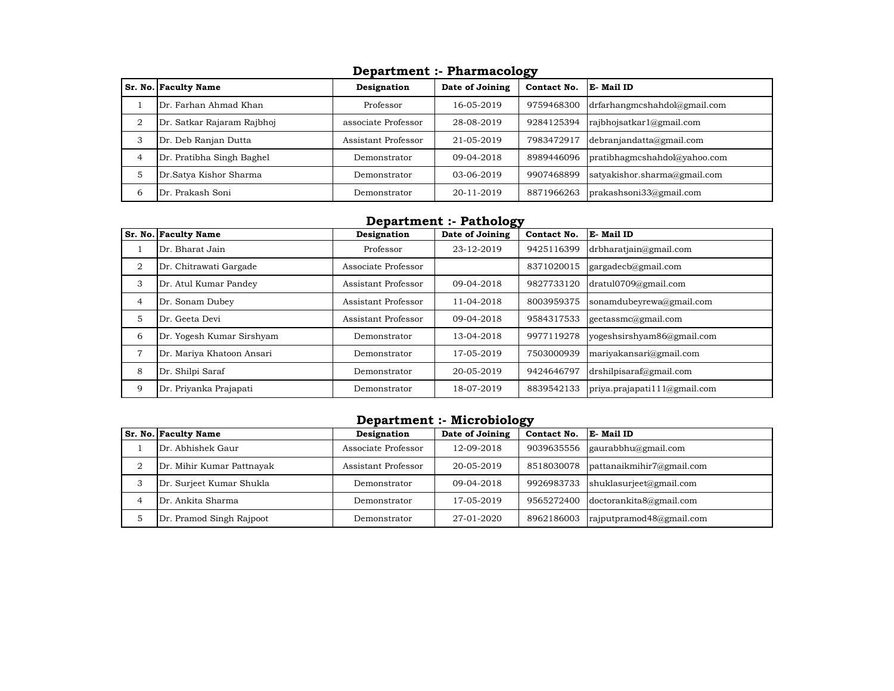| --                         |                     |                 |             |                               |
|----------------------------|---------------------|-----------------|-------------|-------------------------------|
| Sr. No. Faculty Name       | Designation         | Date of Joining | Contact No. | E-Mail ID                     |
| Dr. Farhan Ahmad Khan      | Professor           | 16-05-2019      | 9759468300  | drfarhangmcshahdol@gmail.com  |
| Dr. Satkar Rajaram Rajbhoj | associate Professor | 28-08-2019      | 9284125394  | rajbhojsatkar $1$ @gmail.com  |
| Dr. Deb Ranjan Dutta       | Assistant Professor | 21-05-2019      | 7983472917  | debrandatta@gmail.com         |
| Dr. Pratibha Singh Baghel  | Demonstrator        | $09-04-2018$    | 8989446096  | pratibhagmcshahdola@yahoo.com |
| Dr.Satya Kishor Sharma     | Demonstrator        | $03-06-2019$    | 9907468899  | satyakishor.sharma@gmail.com  |
| Dr. Prakash Soni           | Demonstrator        | 20-11-2019      | 8871966263  | prakashsoni33@gmail.com       |
|                            |                     |                 |             |                               |

## **Department :- Pharmacology**

# **Department :- Pathology**

|                | Sr. No. Faculty Name      | Designation         | Date of Joining  | Contact No. | E-Mail ID                    |
|----------------|---------------------------|---------------------|------------------|-------------|------------------------------|
|                | Dr. Bharat Jain           | Professor           | 23-12-2019       | 9425116399  | drbharatjain@gmail.com       |
| 2              | Dr. Chitrawati Gargade    | Associate Professor |                  | 8371020015  | gargadecb@gmail.com          |
| 3              | Dr. Atul Kumar Pandey     | Assistant Professor | 09-04-2018       | 9827733120  | dratul0709@gmail.com         |
| $\overline{4}$ | Dr. Sonam Dubey           | Assistant Professor | $11 - 04 - 2018$ | 8003959375  | sonamdubeyrewa@gmail.com     |
| 5              | Dr. Geeta Devi            | Assistant Professor | $09-04-2018$     | 9584317533  | geetassmc@gmail.com          |
| 6              | Dr. Yogesh Kumar Sirshyam | Demonstrator        | 13-04-2018       | 9977119278  | yogeshsirshyam86@gmail.com   |
|                | Dr. Mariya Khatoon Ansari | Demonstrator        | 17-05-2019       | 7503000939  | mariyakansari@gmail.com      |
| 8              | Dr. Shilpi Saraf          | Demonstrator        | 20-05-2019       | 9424646797  | drshilpisaraf@gmail.com      |
| 9              | Dr. Priyanka Prajapati    | Demonstrator        | 18-07-2019       | 8839542133  | priya.prajapati111@gmail.com |

### **Department :- Microbiology**

|                |                             |                     |                 | --          |                                         |
|----------------|-----------------------------|---------------------|-----------------|-------------|-----------------------------------------|
|                | <b>Sr. No. Faculty Name</b> | Designation         | Date of Joining | Contact No. | E-Mail ID                               |
|                | Dr. Abhishek Gaur           | Associate Professor | 12-09-2018      |             | 9039635556 $\left $ gaurabbhu@gmail.com |
| $\overline{2}$ | Dr. Mihir Kumar Pattnayak   | Assistant Professor | 20-05-2019      | 8518030078  | $\mathsf{patternaikmihir7}$ @gmail.com  |
| 3              | Dr. Surjeet Kumar Shukla    | Demonstrator        | $09-04-2018$    | 9926983733  | shuklasurjeet@gmail.com                 |
| 4              | Dr. Ankita Sharma           | Demonstrator        | 17-05-2019      |             | 9565272400 doctorankita8@gmail.com      |
|                | Dr. Pramod Singh Rajpoot    | Demonstrator        | 27-01-2020      | 8962186003  | raiputpramod48@gmail.com                |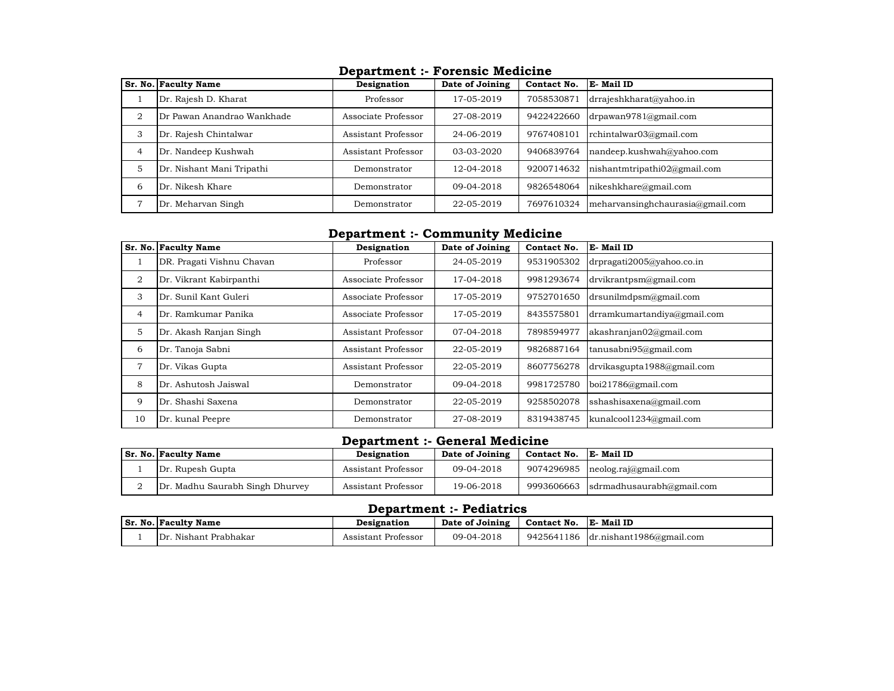|   | ----------                 |                     |                 |             |                                  |  |  |  |
|---|----------------------------|---------------------|-----------------|-------------|----------------------------------|--|--|--|
|   | Sr. No. Faculty Name       | Designation         | Date of Joining | Contact No. | E-Mail ID                        |  |  |  |
|   | Dr. Rajesh D. Kharat       | Professor           | 17-05-2019      | 7058530871  | drrajeshkharat@yahoo.in          |  |  |  |
| 2 | Dr Pawan Anandrao Wankhade | Associate Professor | 27-08-2019      | 9422422660  | drpawan9781@gmail.com            |  |  |  |
| 3 | Dr. Rajesh Chintalwar      | Assistant Professor | 24-06-2019      | 9767408101  | rchintalwar03@gmail.com          |  |  |  |
| 4 | Dr. Nandeep Kushwah        | Assistant Professor | $03-03-2020$    | 9406839764  | nandeep.kushwah@yahoo.com        |  |  |  |
| 5 | Dr. Nishant Mani Tripathi  | Demonstrator        | 12-04-2018      | 9200714632  | nishantmtripathi02@gmail.com     |  |  |  |
| 6 | Dr. Nikesh Khare           | Demonstrator        | $09-04-2018$    | 9826548064  | nikeshkhare@gmail.com            |  |  |  |
|   | Dr. Meharvan Singh         | Demonstrator        | 22-05-2019      | 7697610324  | meharvansinghchaurasia@gmail.com |  |  |  |

#### **Department :- Forensic Medicine**

# **Department :- Community Medicine**

|                | Sr. No. Faculty Name      | Designation         | Date of Joining | Contact No. | E-Mail ID                   |
|----------------|---------------------------|---------------------|-----------------|-------------|-----------------------------|
|                | DR. Pragati Vishnu Chavan | Professor           | 24-05-2019      | 9531905302  | drpragati2005@yahoo.co.in   |
| $\overline{2}$ | Dr. Vikrant Kabirpanthi   | Associate Professor | 17-04-2018      | 9981293674  | drvikrantpsm@gmail.com      |
| 3              | Dr. Sunil Kant Guleri     | Associate Professor | 17-05-2019      | 9752701650  | drsunilmdpsm@gmail.com      |
| $\overline{4}$ | Dr. Ramkumar Panika       | Associate Professor | 17-05-2019      | 8435575801  | drramkumartandiya@gmail.com |
| 5              | Dr. Akash Ranjan Singh    | Assistant Professor | 07-04-2018      | 7898594977  | akashranjan02@gmail.com     |
| 6              | Dr. Tanoja Sabni          | Assistant Professor | 22-05-2019      | 9826887164  | tanusabni95@gmail.com       |
| 7              | Dr. Vikas Gupta           | Assistant Professor | 22-05-2019      | 8607756278  | drvikasgupta1988@gmail.com  |
| 8              | Dr. Ashutosh Jaiswal      | Demonstrator        | 09-04-2018      | 9981725780  | $boi21786$ @gmail.com       |
| 9              | Dr. Shashi Saxena         | Demonstrator        | 22-05-2019      | 9258502078  | sshashisaxena@gmail.com     |
| 10             | Dr. kunal Peepre          | Demonstrator        | 27-08-2019      | 8319438745  | kunalcool1234@gmail.com     |

# **Department :- General Medicine**

|   | <b>Sr. No. Faculty Name</b>     | Designation         | Date of Joining | Contact No. E- Mail ID |                                            |
|---|---------------------------------|---------------------|-----------------|------------------------|--------------------------------------------|
|   | Dr. Rupesh Gupta                | Assistant Professor | 09-04-2018      |                        | 9074296985   neolog.raj $\omega$ gmail.com |
| ∠ | Dr. Madhu Saurabh Singh Dhurvey | Assistant Professor | 19-06-2018      |                        | 9993606663 sdrmadhusaurabh@gmail.com       |

## **Department :- Pediatrics**

| <b>Sr. No. Faculty Name</b> | Designation         | Date of Joining | Contact No. | E-Mail ID                           |
|-----------------------------|---------------------|-----------------|-------------|-------------------------------------|
| . Nishant Prabhakar<br>Dr.  | Assistant Professor | 09-04-2018      |             | 9425641186 dr.nishant1986@gmail.com |